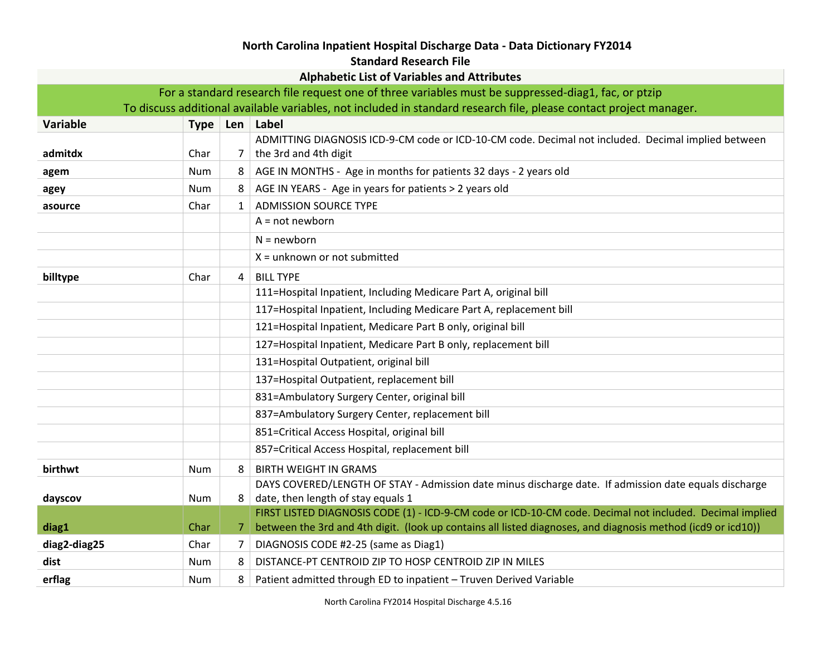## **North Carolina Inpatient Hospital Discharge Data - Data Dictionary FY2014**

## **Standard Research File**

| <b>Alphabetic List of Variables and Attributes</b>                                                  |                                                                                                                    |              |                                                                                                              |  |
|-----------------------------------------------------------------------------------------------------|--------------------------------------------------------------------------------------------------------------------|--------------|--------------------------------------------------------------------------------------------------------------|--|
| For a standard research file request one of three variables must be suppressed-diag1, fac, or ptzip |                                                                                                                    |              |                                                                                                              |  |
|                                                                                                     | To discuss additional available variables, not included in standard research file, please contact project manager. |              |                                                                                                              |  |
| <b>Variable</b>                                                                                     |                                                                                                                    |              | Type   Len   Label                                                                                           |  |
|                                                                                                     |                                                                                                                    |              | ADMITTING DIAGNOSIS ICD-9-CM code or ICD-10-CM code. Decimal not included. Decimal implied between           |  |
| admitdx                                                                                             | Char                                                                                                               | 7            | the 3rd and 4th digit                                                                                        |  |
| agem                                                                                                | <b>Num</b>                                                                                                         | 8            | AGE IN MONTHS - Age in months for patients 32 days - 2 years old                                             |  |
| agey                                                                                                | Num                                                                                                                | 8            | AGE IN YEARS - Age in years for patients > 2 years old                                                       |  |
| asource                                                                                             | Char                                                                                                               | $\mathbf{1}$ | <b>ADMISSION SOURCE TYPE</b>                                                                                 |  |
|                                                                                                     |                                                                                                                    |              | $A = not newborn$                                                                                            |  |
|                                                                                                     |                                                                                                                    |              | $N = newborn$                                                                                                |  |
|                                                                                                     |                                                                                                                    |              | $X =$ unknown or not submitted                                                                               |  |
| billtype                                                                                            | Char                                                                                                               | 4            | <b>BILL TYPE</b>                                                                                             |  |
|                                                                                                     |                                                                                                                    |              | 111=Hospital Inpatient, Including Medicare Part A, original bill                                             |  |
|                                                                                                     |                                                                                                                    |              | 117=Hospital Inpatient, Including Medicare Part A, replacement bill                                          |  |
|                                                                                                     |                                                                                                                    |              | 121=Hospital Inpatient, Medicare Part B only, original bill                                                  |  |
|                                                                                                     |                                                                                                                    |              | 127=Hospital Inpatient, Medicare Part B only, replacement bill                                               |  |
|                                                                                                     |                                                                                                                    |              | 131=Hospital Outpatient, original bill                                                                       |  |
|                                                                                                     |                                                                                                                    |              | 137=Hospital Outpatient, replacement bill                                                                    |  |
|                                                                                                     |                                                                                                                    |              | 831=Ambulatory Surgery Center, original bill                                                                 |  |
|                                                                                                     |                                                                                                                    |              | 837=Ambulatory Surgery Center, replacement bill                                                              |  |
|                                                                                                     |                                                                                                                    |              | 851=Critical Access Hospital, original bill                                                                  |  |
|                                                                                                     |                                                                                                                    |              | 857=Critical Access Hospital, replacement bill                                                               |  |
| birthwt                                                                                             | <b>Num</b>                                                                                                         | 8            | <b>BIRTH WEIGHT IN GRAMS</b>                                                                                 |  |
|                                                                                                     |                                                                                                                    |              | DAYS COVERED/LENGTH OF STAY - Admission date minus discharge date. If admission date equals discharge        |  |
| dayscov                                                                                             | Num                                                                                                                | 8            | date, then length of stay equals 1                                                                           |  |
|                                                                                                     |                                                                                                                    |              | FIRST LISTED DIAGNOSIS CODE (1) - ICD-9-CM code or ICD-10-CM code. Decimal not included. Decimal implied     |  |
| diag1                                                                                               | Char                                                                                                               | 7.           | between the 3rd and 4th digit. (look up contains all listed diagnoses, and diagnosis method (icd9 or icd10)) |  |
| diag2-diag25                                                                                        | Char                                                                                                               | 7            | DIAGNOSIS CODE #2-25 (same as Diag1)                                                                         |  |
| dist                                                                                                | Num                                                                                                                | 8            | DISTANCE-PT CENTROID ZIP TO HOSP CENTROID ZIP IN MILES                                                       |  |
| erflag                                                                                              | Num                                                                                                                | 8            | Patient admitted through ED to inpatient - Truven Derived Variable                                           |  |

North Carolina FY2014 Hospital Discharge 4.5.16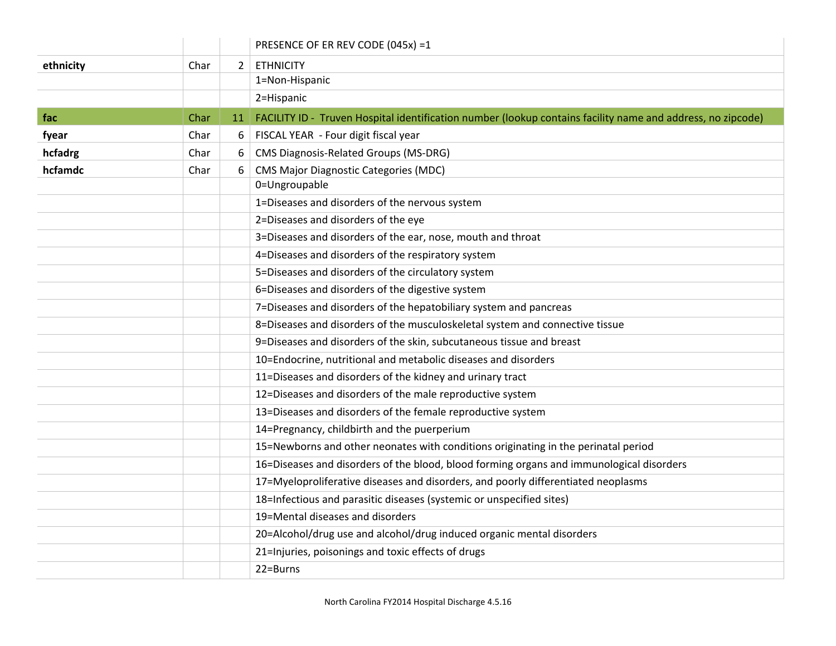|           |      |                | PRESENCE OF ER REV CODE (045x) =1                                                                           |
|-----------|------|----------------|-------------------------------------------------------------------------------------------------------------|
| ethnicity | Char | $\overline{2}$ | <b>ETHNICITY</b>                                                                                            |
|           |      |                | 1=Non-Hispanic                                                                                              |
|           |      |                | 2=Hispanic                                                                                                  |
| fac       | Char | 11             | FACILITY ID - Truven Hospital identification number (lookup contains facility name and address, no zipcode) |
| fyear     | Char | 6              | FISCAL YEAR - Four digit fiscal year                                                                        |
| hcfadrg   | Char | 6              | <b>CMS Diagnosis-Related Groups (MS-DRG)</b>                                                                |
| hcfamdc   | Char | 6              | <b>CMS Major Diagnostic Categories (MDC)</b>                                                                |
|           |      |                | 0=Ungroupable                                                                                               |
|           |      |                | 1=Diseases and disorders of the nervous system                                                              |
|           |      |                | 2=Diseases and disorders of the eye                                                                         |
|           |      |                | 3=Diseases and disorders of the ear, nose, mouth and throat                                                 |
|           |      |                | 4=Diseases and disorders of the respiratory system                                                          |
|           |      |                | 5=Diseases and disorders of the circulatory system                                                          |
|           |      |                | 6=Diseases and disorders of the digestive system                                                            |
|           |      |                | 7=Diseases and disorders of the hepatobiliary system and pancreas                                           |
|           |      |                | 8=Diseases and disorders of the musculoskeletal system and connective tissue                                |
|           |      |                | 9=Diseases and disorders of the skin, subcutaneous tissue and breast                                        |
|           |      |                | 10=Endocrine, nutritional and metabolic diseases and disorders                                              |
|           |      |                | 11=Diseases and disorders of the kidney and urinary tract                                                   |
|           |      |                | 12=Diseases and disorders of the male reproductive system                                                   |
|           |      |                | 13=Diseases and disorders of the female reproductive system                                                 |
|           |      |                | 14=Pregnancy, childbirth and the puerperium                                                                 |
|           |      |                | 15=Newborns and other neonates with conditions originating in the perinatal period                          |
|           |      |                | 16=Diseases and disorders of the blood, blood forming organs and immunological disorders                    |
|           |      |                | 17=Myeloproliferative diseases and disorders, and poorly differentiated neoplasms                           |
|           |      |                | 18=Infectious and parasitic diseases (systemic or unspecified sites)                                        |
|           |      |                | 19=Mental diseases and disorders                                                                            |
|           |      |                | 20=Alcohol/drug use and alcohol/drug induced organic mental disorders                                       |
|           |      |                | 21=Injuries, poisonings and toxic effects of drugs                                                          |
|           |      |                | 22=Burns                                                                                                    |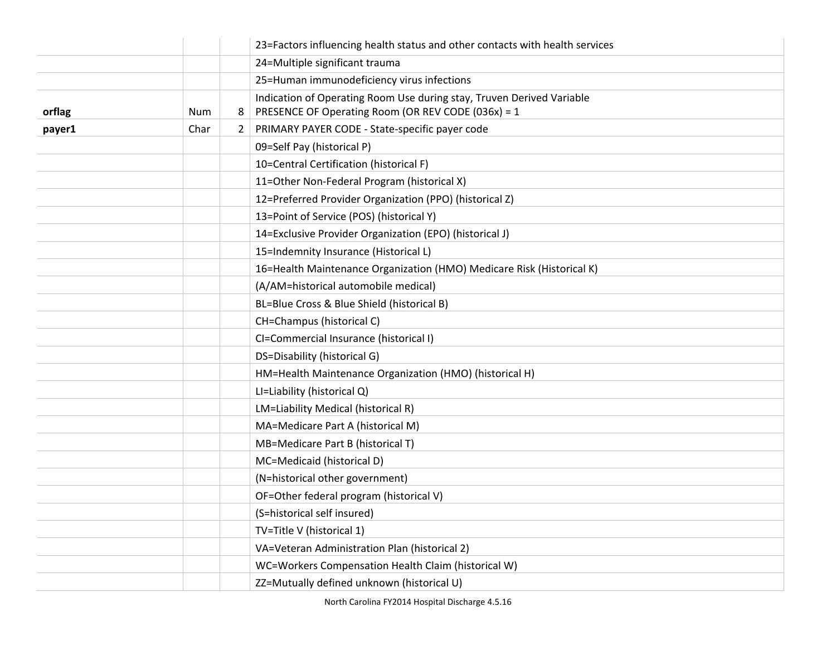|        |      |   | 23=Factors influencing health status and other contacts with health services                                                |
|--------|------|---|-----------------------------------------------------------------------------------------------------------------------------|
|        |      |   | 24=Multiple significant trauma                                                                                              |
|        |      |   | 25=Human immunodeficiency virus infections                                                                                  |
| orflag | Num  | 8 | Indication of Operating Room Use during stay, Truven Derived Variable<br>PRESENCE OF Operating Room (OR REV CODE (036x) = 1 |
| payer1 | Char | 2 | PRIMARY PAYER CODE - State-specific payer code                                                                              |
|        |      |   | 09=Self Pay (historical P)                                                                                                  |
|        |      |   | 10=Central Certification (historical F)                                                                                     |
|        |      |   | 11=Other Non-Federal Program (historical X)                                                                                 |
|        |      |   | 12=Preferred Provider Organization (PPO) (historical Z)                                                                     |
|        |      |   | 13=Point of Service (POS) (historical Y)                                                                                    |
|        |      |   | 14=Exclusive Provider Organization (EPO) (historical J)                                                                     |
|        |      |   | 15=Indemnity Insurance (Historical L)                                                                                       |
|        |      |   | 16=Health Maintenance Organization (HMO) Medicare Risk (Historical K)                                                       |
|        |      |   | (A/AM=historical automobile medical)                                                                                        |
|        |      |   | BL=Blue Cross & Blue Shield (historical B)                                                                                  |
|        |      |   | CH=Champus (historical C)                                                                                                   |
|        |      |   | CI=Commercial Insurance (historical I)                                                                                      |
|        |      |   | DS=Disability (historical G)                                                                                                |
|        |      |   | HM=Health Maintenance Organization (HMO) (historical H)                                                                     |
|        |      |   | LI=Liability (historical Q)                                                                                                 |
|        |      |   | LM=Liability Medical (historical R)                                                                                         |
|        |      |   | MA=Medicare Part A (historical M)                                                                                           |
|        |      |   | MB=Medicare Part B (historical T)                                                                                           |
|        |      |   | MC=Medicaid (historical D)                                                                                                  |
|        |      |   | (N=historical other government)                                                                                             |
|        |      |   | OF=Other federal program (historical V)                                                                                     |
|        |      |   | (S=historical self insured)                                                                                                 |
|        |      |   | TV=Title V (historical 1)                                                                                                   |
|        |      |   | VA=Veteran Administration Plan (historical 2)                                                                               |
|        |      |   | WC=Workers Compensation Health Claim (historical W)                                                                         |
|        |      |   | ZZ=Mutually defined unknown (historical U)                                                                                  |

North Carolina FY2014 Hospital Discharge 4.5.16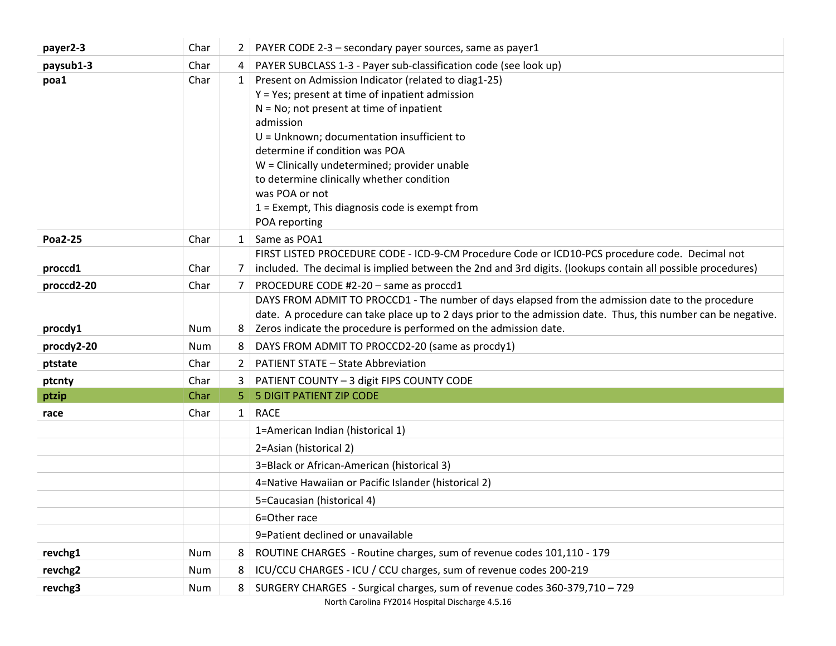| payer2-3       | Char | $\mathbf{2}$ | PAYER CODE 2-3 - secondary payer sources, same as payer1                                                                                                                                                                                                                                                                                                                                                                                 |
|----------------|------|--------------|------------------------------------------------------------------------------------------------------------------------------------------------------------------------------------------------------------------------------------------------------------------------------------------------------------------------------------------------------------------------------------------------------------------------------------------|
| paysub1-3      | Char | 4            | PAYER SUBCLASS 1-3 - Payer sub-classification code (see look up)                                                                                                                                                                                                                                                                                                                                                                         |
| poa1           | Char | $\mathbf{1}$ | Present on Admission Indicator (related to diag1-25)<br>$Y = Yes$ ; present at time of inpatient admission<br>$N = No$ ; not present at time of inpatient<br>admission<br>U = Unknown; documentation insufficient to<br>determine if condition was POA<br>W = Clinically undetermined; provider unable<br>to determine clinically whether condition<br>was POA or not<br>1 = Exempt, This diagnosis code is exempt from<br>POA reporting |
| <b>Poa2-25</b> | Char | $\mathbf{1}$ | Same as POA1                                                                                                                                                                                                                                                                                                                                                                                                                             |
| proccd1        | Char | 7            | FIRST LISTED PROCEDURE CODE - ICD-9-CM Procedure Code or ICD10-PCS procedure code. Decimal not<br>included. The decimal is implied between the 2nd and 3rd digits. (lookups contain all possible procedures)                                                                                                                                                                                                                             |
| proccd2-20     | Char | 7            | PROCEDURE CODE #2-20 - same as proccd1                                                                                                                                                                                                                                                                                                                                                                                                   |
| procdy1        | Num  | 8            | DAYS FROM ADMIT TO PROCCD1 - The number of days elapsed from the admission date to the procedure<br>date. A procedure can take place up to 2 days prior to the admission date. Thus, this number can be negative.<br>Zeros indicate the procedure is performed on the admission date.                                                                                                                                                    |
| procdy2-20     | Num  | 8            | DAYS FROM ADMIT TO PROCCD2-20 (same as procdy1)                                                                                                                                                                                                                                                                                                                                                                                          |
| ptstate        | Char | 2            | <b>PATIENT STATE - State Abbreviation</b>                                                                                                                                                                                                                                                                                                                                                                                                |
| ptcnty         | Char | 3.           | PATIENT COUNTY - 3 digit FIPS COUNTY CODE                                                                                                                                                                                                                                                                                                                                                                                                |
| ptzip          | Char | 5.           | <b>5 DIGIT PATIENT ZIP CODE</b>                                                                                                                                                                                                                                                                                                                                                                                                          |
| race           | Char | $\mathbf{1}$ | <b>RACE</b>                                                                                                                                                                                                                                                                                                                                                                                                                              |
|                |      |              | 1=American Indian (historical 1)                                                                                                                                                                                                                                                                                                                                                                                                         |
|                |      |              | 2=Asian (historical 2)                                                                                                                                                                                                                                                                                                                                                                                                                   |
|                |      |              | 3=Black or African-American (historical 3)                                                                                                                                                                                                                                                                                                                                                                                               |
|                |      |              | 4=Native Hawaiian or Pacific Islander (historical 2)                                                                                                                                                                                                                                                                                                                                                                                     |
|                |      |              | 5=Caucasian (historical 4)                                                                                                                                                                                                                                                                                                                                                                                                               |
|                |      |              | 6=Other race                                                                                                                                                                                                                                                                                                                                                                                                                             |
|                |      |              | 9=Patient declined or unavailable                                                                                                                                                                                                                                                                                                                                                                                                        |
| revchg1        | Num  | 8            | ROUTINE CHARGES - Routine charges, sum of revenue codes 101,110 - 179                                                                                                                                                                                                                                                                                                                                                                    |
| revchg2        | Num  | 8            | ICU/CCU CHARGES - ICU / CCU charges, sum of revenue codes 200-219                                                                                                                                                                                                                                                                                                                                                                        |
| revchg3        | Num  | 8            | SURGERY CHARGES - Surgical charges, sum of revenue codes 360-379,710 - 729                                                                                                                                                                                                                                                                                                                                                               |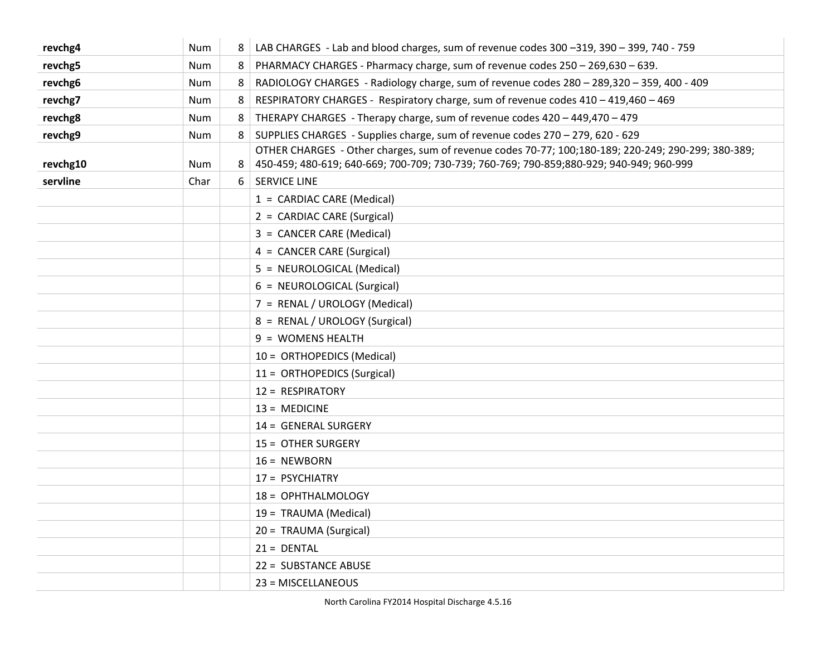| revchg4  | Num  | 8 | LAB CHARGES - Lab and blood charges, sum of revenue codes 300 -319, 390 - 399, 740 - 759           |
|----------|------|---|----------------------------------------------------------------------------------------------------|
| revchg5  | Num  | 8 | PHARMACY CHARGES - Pharmacy charge, sum of revenue codes 250 - 269,630 - 639.                      |
| revchg6  | Num  | 8 | RADIOLOGY CHARGES - Radiology charge, sum of revenue codes 280 - 289,320 - 359, 400 - 409          |
| revchg7  | Num  | 8 | RESPIRATORY CHARGES - Respiratory charge, sum of revenue codes 410 - 419,460 - 469                 |
| revchg8  | Num  | 8 | THERAPY CHARGES - Therapy charge, sum of revenue codes 420 - 449,470 - 479                         |
| revchg9  | Num  | 8 | SUPPLIES CHARGES - Supplies charge, sum of revenue codes 270 - 279, 620 - 629                      |
|          |      |   | OTHER CHARGES - Other charges, sum of revenue codes 70-77; 100;180-189; 220-249; 290-299; 380-389; |
| revchg10 | Num  | 8 | 450-459; 480-619; 640-669; 700-709; 730-739; 760-769; 790-859; 880-929; 940-949; 960-999           |
| servline | Char | 6 | <b>SERVICE LINE</b>                                                                                |
|          |      |   | 1 = CARDIAC CARE (Medical)                                                                         |
|          |      |   | 2 = CARDIAC CARE (Surgical)                                                                        |
|          |      |   | 3 = CANCER CARE (Medical)                                                                          |
|          |      |   | 4 = CANCER CARE (Surgical)                                                                         |
|          |      |   | 5 = NEUROLOGICAL (Medical)                                                                         |
|          |      |   | 6 = NEUROLOGICAL (Surgical)                                                                        |
|          |      |   | 7 = RENAL / UROLOGY (Medical)                                                                      |
|          |      |   | 8 = RENAL / UROLOGY (Surgical)                                                                     |
|          |      |   | 9 = WOMENS HEALTH                                                                                  |
|          |      |   | 10 = ORTHOPEDICS (Medical)                                                                         |
|          |      |   | 11 = ORTHOPEDICS (Surgical)                                                                        |
|          |      |   | 12 = RESPIRATORY                                                                                   |
|          |      |   | $13 = MEDICINE$                                                                                    |
|          |      |   | 14 = GENERAL SURGERY                                                                               |
|          |      |   | 15 = OTHER SURGERY                                                                                 |
|          |      |   | $16 = NEWBORN$                                                                                     |
|          |      |   | 17 = PSYCHIATRY                                                                                    |
|          |      |   | 18 = OPHTHALMOLOGY                                                                                 |
|          |      |   | 19 = TRAUMA (Medical)                                                                              |
|          |      |   | 20 = TRAUMA (Surgical)                                                                             |
|          |      |   | $21 = DENTAL$                                                                                      |
|          |      |   | 22 = SUBSTANCE ABUSE                                                                               |
|          |      |   | 23 = MISCELLANEOUS                                                                                 |